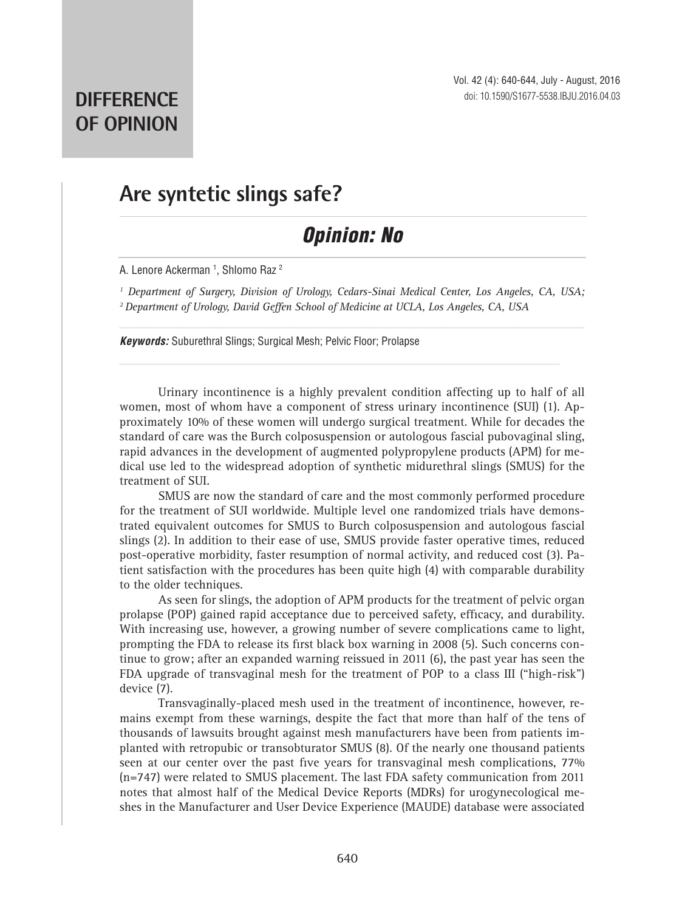## **Are syntetic slings safe?**

## *Opinion: No*

A. Lenore Ackerman 1, Shlomo Raz <sup>2</sup>

<sup>1</sup> Department of Surgery, Division of Urology, Cedars-Sinai Medical Center, Los Angeles, CA, USA; *2 Department of Urology, David Geffen School of Medicine at UCLA, Los Angeles, CA, USA*

*Keywords:* Suburethral Slings; Surgical Mesh; Pelvic Floor; Prolapse

Urinary incontinence is a highly prevalent condition affecting up to half of all women, most of whom have a component of stress urinary incontinence (SUI) (1). Approximately 10% of these women will undergo surgical treatment. While for decades the standard of care was the Burch colposuspension or autologous fascial pubovaginal sling, rapid advances in the development of augmented polypropylene products (APM) for medical use led to the widespread adoption of synthetic midurethral slings (SMUS) for the treatment of SUI.

SMUS are now the standard of care and the most commonly performed procedure for the treatment of SUI worldwide. Multiple level one randomized trials have demonstrated equivalent outcomes for SMUS to Burch colposuspension and autologous fascial slings (2). In addition to their ease of use, SMUS provide faster operative times, reduced post-operative morbidity, faster resumption of normal activity, and reduced cost (3). Patient satisfaction with the procedures has been quite high (4) with comparable durability to the older techniques.

As seen for slings, the adoption of APM products for the treatment of pelvic organ prolapse (POP) gained rapid acceptance due to perceived safety, efficacy, and durability. With increasing use, however, a growing number of severe complications came to light, prompting the FDA to release its first black box warning in 2008 (5). Such concerns continue to grow; after an expanded warning reissued in 2011 (6), the past year has seen the FDA upgrade of transvaginal mesh for the treatment of POP to a class III ("high-risk") device (7).

Transvaginally-placed mesh used in the treatment of incontinence, however, remains exempt from these warnings, despite the fact that more than half of the tens of thousands of lawsuits brought against mesh manufacturers have been from patients implanted with retropubic or transobturator SMUS (8). Of the nearly one thousand patients seen at our center over the past five years for transvaginal mesh complications, 77% (n=747) were related to SMUS placement. The last FDA safety communication from 2011 notes that almost half of the Medical Device Reports (MDRs) for urogynecological meshes in the Manufacturer and User Device Experience (MAUDE) database were associated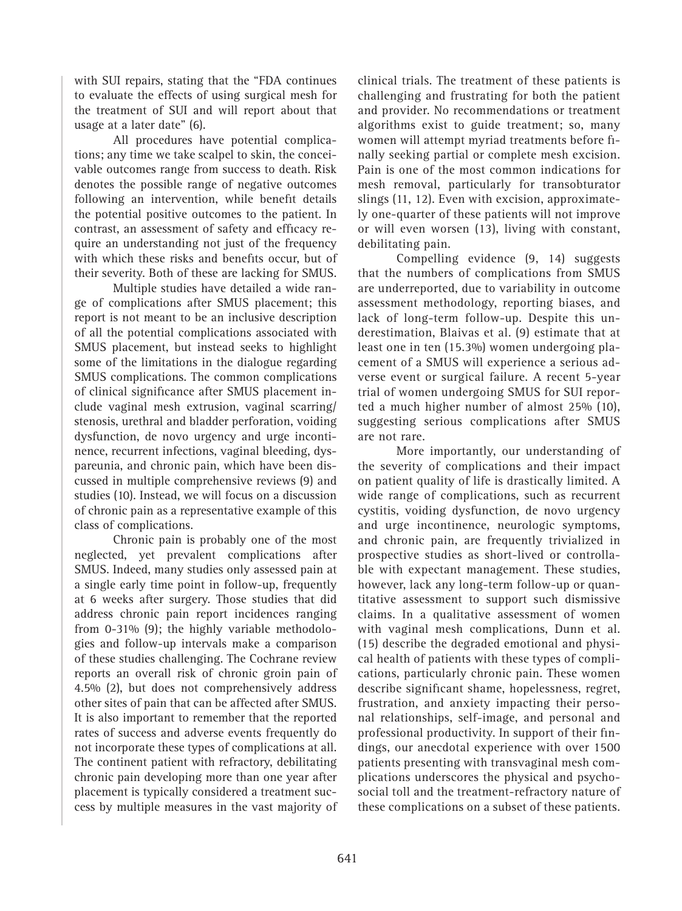with SUI repairs, stating that the "FDA continues to evaluate the effects of using surgical mesh for the treatment of SUI and will report about that usage at a later date" (6).

All procedures have potential complications; any time we take scalpel to skin, the conceivable outcomes range from success to death. Risk denotes the possible range of negative outcomes following an intervention, while benefit details the potential positive outcomes to the patient. In contrast, an assessment of safety and efficacy require an understanding not just of the frequency with which these risks and benefits occur, but of their severity. Both of these are lacking for SMUS.

Multiple studies have detailed a wide range of complications after SMUS placement; this report is not meant to be an inclusive description of all the potential complications associated with SMUS placement, but instead seeks to highlight some of the limitations in the dialogue regarding SMUS complications. The common complications of clinical significance after SMUS placement include vaginal mesh extrusion, vaginal scarring/ stenosis, urethral and bladder perforation, voiding dysfunction, de novo urgency and urge incontinence, recurrent infections, vaginal bleeding, dyspareunia, and chronic pain, which have been discussed in multiple comprehensive reviews (9) and studies (10). Instead, we will focus on a discussion of chronic pain as a representative example of this class of complications.

Chronic pain is probably one of the most neglected, yet prevalent complications after SMUS. Indeed, many studies only assessed pain at a single early time point in follow-up, frequently at 6 weeks after surgery. Those studies that did address chronic pain report incidences ranging from 0-31% (9); the highly variable methodologies and follow-up intervals make a comparison of these studies challenging. The Cochrane review reports an overall risk of chronic groin pain of 4.5% (2), but does not comprehensively address other sites of pain that can be affected after SMUS. It is also important to remember that the reported rates of success and adverse events frequently do not incorporate these types of complications at all. The continent patient with refractory, debilitating chronic pain developing more than one year after placement is typically considered a treatment success by multiple measures in the vast majority of

clinical trials. The treatment of these patients is challenging and frustrating for both the patient and provider. No recommendations or treatment algorithms exist to guide treatment; so, many women will attempt myriad treatments before finally seeking partial or complete mesh excision. Pain is one of the most common indications for mesh removal, particularly for transobturator slings (11, 12). Even with excision, approximately one-quarter of these patients will not improve or will even worsen (13), living with constant, debilitating pain.

Compelling evidence (9, 14) suggests that the numbers of complications from SMUS are underreported, due to variability in outcome assessment methodology, reporting biases, and lack of long-term follow-up. Despite this underestimation, Blaivas et al. (9) estimate that at least one in ten (15.3%) women undergoing placement of a SMUS will experience a serious adverse event or surgical failure. A recent 5-year trial of women undergoing SMUS for SUI reported a much higher number of almost 25% (10), suggesting serious complications after SMUS are not rare.

More importantly, our understanding of the severity of complications and their impact on patient quality of life is drastically limited. A wide range of complications, such as recurrent cystitis, voiding dysfunction, de novo urgency and urge incontinence, neurologic symptoms, and chronic pain, are frequently trivialized in prospective studies as short-lived or controllable with expectant management. These studies, however, lack any long-term follow-up or quantitative assessment to support such dismissive claims. In a qualitative assessment of women with vaginal mesh complications, Dunn et al. (15) describe the degraded emotional and physical health of patients with these types of complications, particularly chronic pain. These women describe significant shame, hopelessness, regret, frustration, and anxiety impacting their personal relationships, self-image, and personal and professional productivity. In support of their findings, our anecdotal experience with over 1500 patients presenting with transvaginal mesh complications underscores the physical and psychosocial toll and the treatment-refractory nature of these complications on a subset of these patients.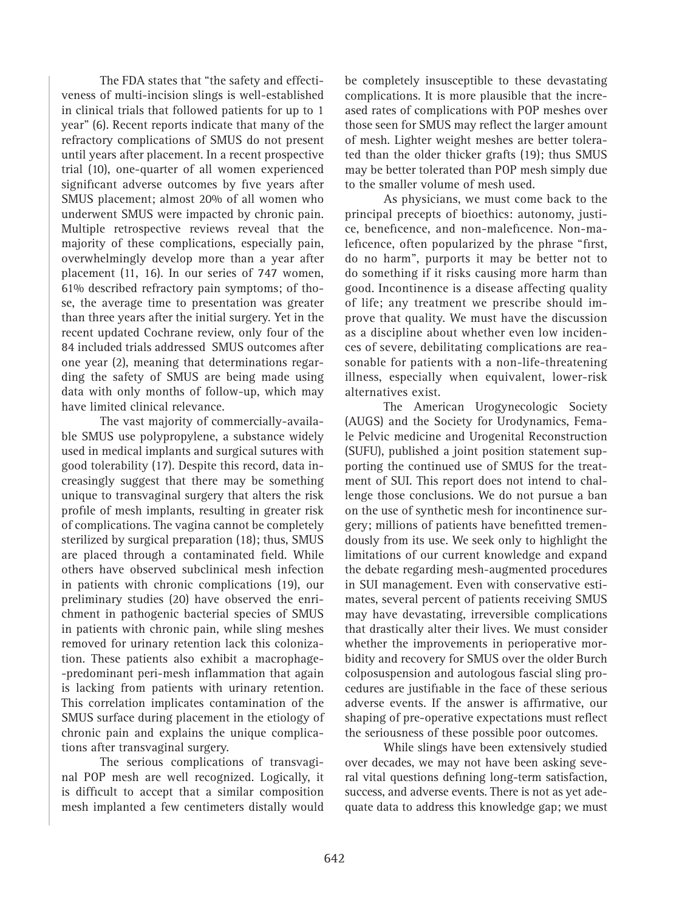The FDA states that "the safety and effectiveness of multi-incision slings is well-established in clinical trials that followed patients for up to 1 year" (6). Recent reports indicate that many of the refractory complications of SMUS do not present until years after placement. In a recent prospective trial (10), one-quarter of all women experienced significant adverse outcomes by five years after SMUS placement; almost 20% of all women who underwent SMUS were impacted by chronic pain. Multiple retrospective reviews reveal that the majority of these complications, especially pain, overwhelmingly develop more than a year after placement (11, 16). In our series of 747 women, 61% described refractory pain symptoms; of those, the average time to presentation was greater than three years after the initial surgery. Yet in the recent updated Cochrane review, only four of the 84 included trials addressed SMUS outcomes after one year (2), meaning that determinations regarding the safety of SMUS are being made using data with only months of follow-up, which may have limited clinical relevance.

The vast majority of commercially-available SMUS use polypropylene, a substance widely used in medical implants and surgical sutures with good tolerability (17). Despite this record, data increasingly suggest that there may be something unique to transvaginal surgery that alters the risk profile of mesh implants, resulting in greater risk of complications. The vagina cannot be completely sterilized by surgical preparation (18); thus, SMUS are placed through a contaminated field. While others have observed subclinical mesh infection in patients with chronic complications (19), our preliminary studies (20) have observed the enrichment in pathogenic bacterial species of SMUS in patients with chronic pain, while sling meshes removed for urinary retention lack this colonization. These patients also exhibit a macrophage- -predominant peri-mesh inflammation that again is lacking from patients with urinary retention. This correlation implicates contamination of the SMUS surface during placement in the etiology of chronic pain and explains the unique complications after transvaginal surgery.

The serious complications of transvaginal POP mesh are well recognized. Logically, it is difficult to accept that a similar composition mesh implanted a few centimeters distally would be completely insusceptible to these devastating complications. It is more plausible that the increased rates of complications with POP meshes over those seen for SMUS may reflect the larger amount of mesh. Lighter weight meshes are better tolerated than the older thicker grafts (19); thus SMUS may be better tolerated than POP mesh simply due to the smaller volume of mesh used.

As physicians, we must come back to the principal precepts of bioethics: autonomy, justice, beneficence, and non-maleficence. Non-maleficence, often popularized by the phrase "first, do no harm", purports it may be better not to do something if it risks causing more harm than good. Incontinence is a disease affecting quality of life; any treatment we prescribe should improve that quality. We must have the discussion as a discipline about whether even low incidences of severe, debilitating complications are reasonable for patients with a non-life-threatening illness, especially when equivalent, lower-risk alternatives exist.

The American Urogynecologic Society (AUGS) and the Society for Urodynamics, Female Pelvic medicine and Urogenital Reconstruction (SUFU), published a joint position statement supporting the continued use of SMUS for the treatment of SUI. This report does not intend to challenge those conclusions. We do not pursue a ban on the use of synthetic mesh for incontinence surgery; millions of patients have benefitted tremendously from its use. We seek only to highlight the limitations of our current knowledge and expand the debate regarding mesh-augmented procedures in SUI management. Even with conservative estimates, several percent of patients receiving SMUS may have devastating, irreversible complications that drastically alter their lives. We must consider whether the improvements in perioperative morbidity and recovery for SMUS over the older Burch colposuspension and autologous fascial sling procedures are justifiable in the face of these serious adverse events. If the answer is affirmative, our shaping of pre-operative expectations must reflect the seriousness of these possible poor outcomes.

While slings have been extensively studied over decades, we may not have been asking several vital questions defining long-term satisfaction, success, and adverse events. There is not as yet adequate data to address this knowledge gap; we must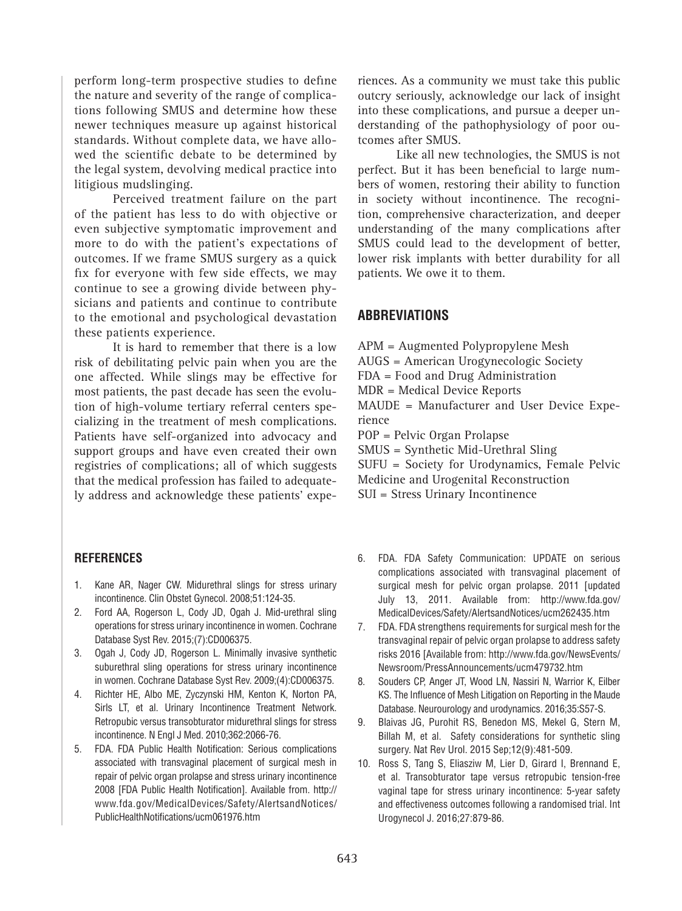perform long-term prospective studies to define the nature and severity of the range of complications following SMUS and determine how these newer techniques measure up against historical standards. Without complete data, we have allowed the scientific debate to be determined by the legal system, devolving medical practice into litigious mudslinging.

Perceived treatment failure on the part of the patient has less to do with objective or even subjective symptomatic improvement and more to do with the patient's expectations of outcomes. If we frame SMUS surgery as a quick fix for everyone with few side effects, we may continue to see a growing divide between physicians and patients and continue to contribute to the emotional and psychological devastation these patients experience.

It is hard to remember that there is a low risk of debilitating pelvic pain when you are the one affected. While slings may be effective for most patients, the past decade has seen the evolution of high-volume tertiary referral centers specializing in the treatment of mesh complications. Patients have self-organized into advocacy and support groups and have even created their own registries of complications; all of which suggests that the medical profession has failed to adequately address and acknowledge these patients' expe-

**REFERENCES**

- 1. Kane AR, Nager CW. Midurethral slings for stress urinary incontinence. Clin Obstet Gynecol. 2008;51:124-35.
- 2. Ford AA, Rogerson L, Cody JD, Ogah J. Mid-urethral sling operations for stress urinary incontinence in women. Cochrane Database Syst Rev. 2015;(7):CD006375.
- 3. Ogah J, Cody JD, Rogerson L. Minimally invasive synthetic suburethral sling operations for stress urinary incontinence in women. Cochrane Database Syst Rev. 2009;(4):CD006375.
- 4. Richter HE, Albo ME, Zyczynski HM, Kenton K, Norton PA, Sirls LT, et al. Urinary Incontinence Treatment Network. Retropubic versus transobturator midurethral slings for stress incontinence. N Engl J Med. 2010;362:2066-76.
- 5. FDA. FDA Public Health Notification: Serious complications associated with transvaginal placement of surgical mesh in repair of pelvic organ prolapse and stress urinary incontinence 2008 [FDA Public Health Notification]. Available from. http:// www.fda.gov/MedicalDevices/Safety/AlertsandNotices/ PublicHealthNotifications/ucm061976.htm

riences. As a community we must take this public outcry seriously, acknowledge our lack of insight into these complications, and pursue a deeper understanding of the pathophysiology of poor outcomes after SMUS.

Like all new technologies, the SMUS is not perfect. But it has been beneficial to large numbers of women, restoring their ability to function in society without incontinence. The recognition, comprehensive characterization, and deeper understanding of the many complications after SMUS could lead to the development of better, lower risk implants with better durability for all patients. We owe it to them.

## **Abbreviations**

- APM = Augmented Polypropylene Mesh
- AUGS = American Urogynecologic Society
- FDA = Food and Drug Administration
- MDR = Medical Device Reports

MAUDE = Manufacturer and User Device Experience

POP = Pelvic Organ Prolapse

SMUS = Synthetic Mid-Urethral Sling

SUFU = Society for Urodynamics, Female Pelvic Medicine and Urogenital Reconstruction

- SUI = Stress Urinary Incontinence
- 6. FDA. FDA Safety Communication: UPDATE on serious complications associated with transvaginal placement of surgical mesh for pelvic organ prolapse. 2011 [updated July 13, 2011. Available from: http://www.fda.gov/ MedicalDevices/Safety/AlertsandNotices/ucm262435.htm
- 7. FDA. FDA strengthens requirements for surgical mesh for the transvaginal repair of pelvic organ prolapse to address safety risks 2016 [Available from: http://www.fda.gov/NewsEvents/ Newsroom/PressAnnouncements/ucm479732.htm
- 8. Souders CP, Anger JT, Wood LN, Nassiri N, Warrior K, Eilber KS. The Influence of Mesh Litigation on Reporting in the Maude Database. Neurourology and urodynamics. 2016;35:S57-S.
- 9. Blaivas JG, Purohit RS, Benedon MS, Mekel G, Stern M, Billah M, et al. Safety considerations for synthetic sling surgery. Nat Rev Urol. 2015 Sep;12(9):481-509.
- 10. Ross S, Tang S, Eliasziw M, Lier D, Girard I, Brennand E, et al. Transobturator tape versus retropubic tension-free vaginal tape for stress urinary incontinence: 5-year safety and effectiveness outcomes following a randomised trial. Int Urogynecol J. 2016;27:879-86.